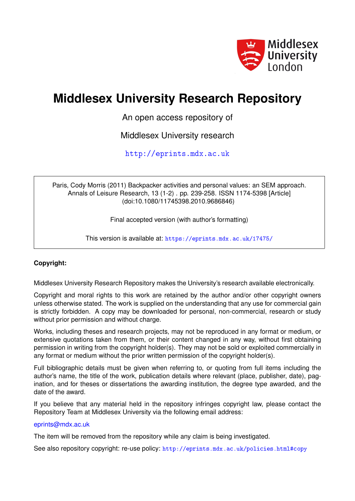

# **Middlesex University Research Repository**

An open access repository of

Middlesex University research

<http://eprints.mdx.ac.uk>

Paris, Cody Morris (2011) Backpacker activities and personal values: an SEM approach. Annals of Leisure Research, 13 (1-2) . pp. 239-258. ISSN 1174-5398 [Article] (doi:10.1080/11745398.2010.9686846)

Final accepted version (with author's formatting)

This version is available at: <https://eprints.mdx.ac.uk/17475/>

# **Copyright:**

Middlesex University Research Repository makes the University's research available electronically.

Copyright and moral rights to this work are retained by the author and/or other copyright owners unless otherwise stated. The work is supplied on the understanding that any use for commercial gain is strictly forbidden. A copy may be downloaded for personal, non-commercial, research or study without prior permission and without charge.

Works, including theses and research projects, may not be reproduced in any format or medium, or extensive quotations taken from them, or their content changed in any way, without first obtaining permission in writing from the copyright holder(s). They may not be sold or exploited commercially in any format or medium without the prior written permission of the copyright holder(s).

Full bibliographic details must be given when referring to, or quoting from full items including the author's name, the title of the work, publication details where relevant (place, publisher, date), pagination, and for theses or dissertations the awarding institution, the degree type awarded, and the date of the award.

If you believe that any material held in the repository infringes copyright law, please contact the Repository Team at Middlesex University via the following email address:

# [eprints@mdx.ac.uk](mailto:eprints@mdx.ac.uk)

The item will be removed from the repository while any claim is being investigated.

See also repository copyright: re-use policy: <http://eprints.mdx.ac.uk/policies.html#copy>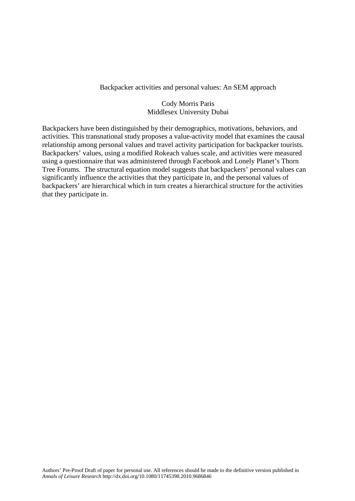# Backpacker activities and personal values: An SEM approach

# Cody Morris Paris Middlesex University Dubai

Backpackers have been distinguished by their demographics, motivations, behaviors, and activities. This transnational study proposes a value-activity model that examines the causal relationship among personal values and travel activity participation for backpacker tourists. Backpackers' values, using a modified Rokeach values scale, and activities were measured using a questionnaire that was administered through Facebook and Lonely Planet's Thorn Tree Forums. The structural equation model suggests that backpackers' personal values can significantly influence the activities that they participate in, and the personal values of backpackers' are hierarchical which in turn creates a hierarchical structure for the activities that they participate in.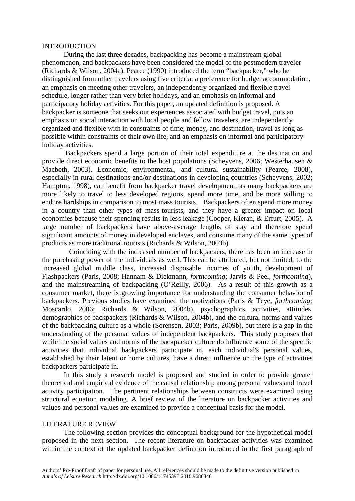#### INTRODUCTION

During the last three decades, backpacking has become a mainstream global phenomenon, and backpackers have been considered the model of the postmodern traveler (Richards & Wilson, 2004a). Pearce (1990) introduced the term "backpacker," who he distinguished from other travelers using five criteria: a preference for budget accommodation, an emphasis on meeting other travelers, an independently organized and flexible travel schedule, longer rather than very brief holidays, and an emphasis on informal and participatory holiday activities. For this paper, an updated definition is proposed. A backpacker is someone that seeks out experiences associated with budget travel, puts an emphasis on social interaction with local people and fellow travelers, are independently organized and flexible with in constraints of time, money, and destination, travel as long as possible within constraints of their own life, and an emphasis on informal and participatory holiday activities.

Backpackers spend a large portion of their total expenditure at the destination and provide direct economic benefits to the host populations (Scheyvens, 2006; Westerhausen & Macbeth, 2003). Economic, environmental, and cultural sustainability (Pearce, 2008), especially in rural destinations and/or destinations in developing countries (Scheyvens, 2002; Hampton, 1998), can benefit from backpacker travel development, as many backpackers are more likely to travel to less developed regions, spend more time, and be more willing to endure hardships in comparison to most mass tourists. Backpackers often spend more money in a country than other types of mass-tourists, and they have a greater impact on local economies because their spending results in less leakage (Cooper, Kieran, & Erfurt, 2005). A large number of backpackers have above-average lengths of stay and therefore spend significant amounts of money in developed enclaves, and consume many of the same types of products as more traditional tourists (Richards & Wilson, 2003b).

 Coinciding with the increased number of backpackers, there has been an increase in the purchasing power of the individuals as well. This can be attributed, but not limited, to the increased global middle class, increased disposable incomes of youth, development of Flashpackers (Paris, 2008; Hannam & Diekmann, *forthcoming*; Jarvis & Peel, *forthcoming*), and the mainstreaming of backpacking (O'Reilly, 2006). As a result of this growth as a consumer market, there is growing importance for understanding the consumer behavior of backpackers. Previous studies have examined the motivations (Paris & Teye, *forthcoming;*  Moscardo, 2006; Richards & Wilson, 2004b), psychographics, activities, attitudes, demographics of backpackers (Richards & Wilson, 2004b), and the cultural norms and values of the backpacking culture as a whole (Sorensen, 2003; Paris, 2009b), but there is a gap in the understanding of the personal values of independent backpackers. This study proposes that while the social values and norms of the backpacker culture do influence some of the specific activities that individual backpackers participate in, each individual's personal values, established by their latent or home cultures, have a direct influence on the type of activities backpackers participate in.

In this study a research model is proposed and studied in order to provide greater theoretical and empirical evidence of the causal relationship among personal values and travel activity participation. The pertinent relationships between constructs were examined using structural equation modeling. A brief review of the literature on backpacker activities and values and personal values are examined to provide a conceptual basis for the model.

# LITERATURE REVIEW

The following section provides the conceptual background for the hypothetical model proposed in the next section. The recent literature on backpacker activities was examined within the context of the updated backpacker definition introduced in the first paragraph of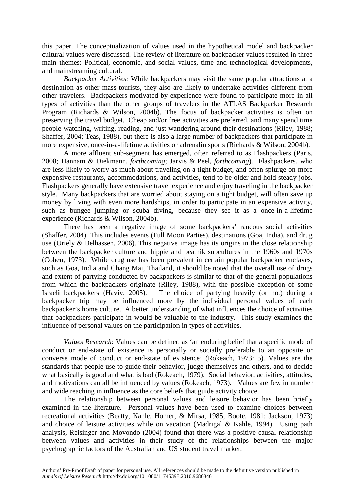this paper. The conceptualization of values used in the hypothetical model and backpacker cultural values were discussed. The review of literature on backpacker values resulted in three main themes: Political, economic, and social values, time and technological developments, and mainstreaming cultural.

*Backpacker Activities:* While backpackers may visit the same popular attractions at a destination as other mass-tourists, they also are likely to undertake activities different from other travelers. Backpackers motivated by experience were found to participate more in all types of activities than the other groups of travelers in the ATLAS Backpacker Research Program (Richards & Wilson, 2004b). The focus of backpacker activities is often on preserving the travel budget. Cheap and/or free activities are preferred, and many spend time people-watching, writing, reading, and just wandering around their destinations (Riley, 1988; Shaffer, 2004; Teas, 1988), but there is also a large number of backpackers that participate in more expensive, once-in-a-lifetime activities or adrenalin sports (Richards & Wilson, 2004b).

A more affluent sub-segment has emerged, often referred to as Flashpackers (Paris, 2008; Hannam & Diekmann, *forthcoming*; Jarvis & Peel, *forthcoming*). Flashpackers, who are less likely to worry as much about traveling on a tight budget, and often splurge on more expensive restaurants, accommodations, and activities, tend to be older and hold steady jobs. Flashpackers generally have extensive travel experience and enjoy traveling in the backpacker style. Many backpackers that are worried about staying on a tight budget, will often save up money by living with even more hardships, in order to participate in an expensive activity, such as bungee jumping or scuba diving, because they see it as a once-in-a-lifetime experience (Richards & Wilson, 2004b).

There has been a negative image of some backpackers' raucous social activities (Shaffer, 2004). This includes events (Full Moon Parties), destinations (Goa, India), and drug use (Uriely & Belhassen, 2006). This negative image has its origins in the close relationship between the backpacker culture and hippie and beatnik subcultures in the 1960s and 1970s (Cohen, 1973). While drug use has been prevalent in certain popular backpacker enclaves, such as Goa, India and Chang Mai, Thailand, it should be noted that the overall use of drugs and extent of partying conducted by backpackers is similar to that of the general populations from which the backpackers originate (Riley, 1988), with the possible exception of some Israeli backpackers (Haviv, 2005). The choice of partying heavily (or not) during a backpacker trip may be influenced more by the individual personal values of each backpacker's home culture. A better understanding of what influences the choice of activities that backpackers participate in would be valuable to the industry. This study examines the influence of personal values on the participation in types of activities.

*Values Research*: Values can be defined as 'an enduring belief that a specific mode of conduct or end-state of existence is personally or socially preferable to an opposite or converse mode of conduct or end-state of existence' (Rokeach, 1973: 5). Values are the standards that people use to guide their behavior, judge themselves and others, and to decide what basically is good and what is bad (Rokeach, 1979). Social behavior, activities, attitudes, and motivations can all be influenced by values (Rokeach, 1973). Values are few in number and wide reaching in influence as the core beliefs that guide activity choice.

The relationship between personal values and leisure behavior has been briefly examined in the literature. Personal values have been used to examine choices between recreational activities (Beatty, Kahle, Homer, & Mirsa, 1985; Boote, 1981; Jackson, 1973) and choice of leisure activities while on vacation (Madrigal & Kahle, 1994). Using path analysis, Reisinger and Movondo (2004) found that there was a positive causal relationship between values and activities in their study of the relationships between the major psychographic factors of the Australian and US student travel market.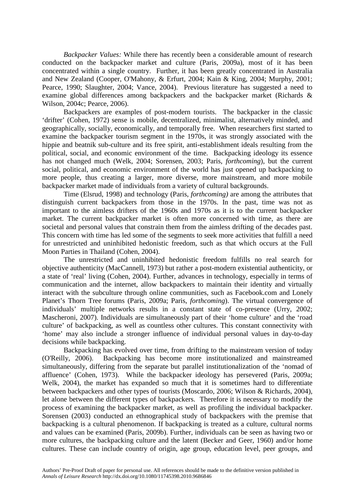*Backpacker Values:* While there has recently been a considerable amount of research conducted on the backpacker market and culture (Paris, 2009a), most of it has been concentrated within a single country. Further, it has been greatly concentrated in Australia and New Zealand (Cooper, O'Mahony, & Erfurt, 2004; Kain & King, 2004; Murphy, 2001; Pearce, 1990; Slaughter, 2004; Vance, 2004). Previous literature has suggested a need to examine global differences among backpackers and the backpacker market (Richards & Wilson, 2004c; Pearce, 2006).

Backpackers are examples of post-modern tourists. The backpacker in the classic 'drifter' (Cohen, 1972) sense is mobile, decentralized, minimalist, alternatively minded, and geographically, socially, economically, and temporally free. When researchers first started to examine the backpacker tourism segment in the 1970s, it was strongly associated with the hippie and beatnik sub-culture and its free spirit, anti-establishment ideals resulting from the political, social, and economic environment of the time. Backpacking ideology its essence has not changed much (Welk, 2004; Sorensen, 2003; Paris, *forthcoming*), but the current social, political, and economic environment of the world has just opened up backpacking to more people, thus creating a larger, more diverse, more mainstream, and more mobile backpacker market made of individuals from a variety of cultural backgrounds.

Time (Elsrud, 1998) and technology (Paris, *forthcoming)* are among the attributes that distinguish current backpackers from those in the 1970s. In the past, time was not as important to the aimless drifters of the 1960s and 1970s as it is to the current backpacker market. The current backpacker market is often more concerned with time, as there are societal and personal values that constrain them from the aimless drifting of the decades past. This concern with time has led some of the segments to seek more activities that fulfill a need for unrestricted and uninhibited hedonistic freedom, such as that which occurs at the Full Moon Parties in Thailand (Cohen, 2004).

The unrestricted and uninhibited hedonistic freedom fulfills no real search for objective authenticity (MacCannell, 1973) but rather a post-modern existential authenticity, or a state of 'real' living (Cohen, 2004). Further, advances in technology, especially in terms of communication and the internet, allow backpackers to maintain their identity and virtually interact with the subculture through online communities, such as Facebook.com and Lonely Planet's Thorn Tree forums (Paris, 2009a; Paris, *forthcoming*). The virtual convergence of individuals' multiple networks results in a constant state of co-presence (Urry, 2002; Mascheroni, 2007). Individuals are simultaneously part of their 'home culture' and the 'road culture' of backpacking, as well as countless other cultures. This constant connectivity with 'home' may also include a stronger influence of individual personal values in day-to-day decisions while backpacking.

Backpacking has evolved over time, from drifting to the mainstream version of today (O'Reilly, 2006). Backpacking has become more institutionalized and mainstreamed simultaneously, differing from the separate but parallel institutionalization of the 'nomad of affluence' (Cohen, 1973). While the backpacker ideology has persevered (Paris, 2009a; Welk, 2004), the market has expanded so much that it is sometimes hard to differentiate between backpackers and other types of tourists (Moscardo, 2006; Wilson & Richards, 2004), let alone between the different types of backpackers. Therefore it is necessary to modify the process of examining the backpacker market, as well as profiling the individual backpacker. Sorensen (2003) conducted an ethnographical study of backpackers with the premise that backpacking is a cultural phenomenon. If backpacking is treated as a culture, cultural norms and values can be examined (Paris, 2009b). Further, individuals can be seen as having two or more cultures, the backpacking culture and the latent (Becker and Geer, 1960) and/or home cultures. These can include country of origin, age group, education level, peer groups, and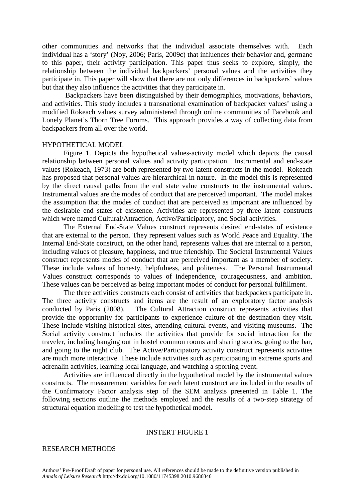other communities and networks that the individual associate themselves with. Each individual has a 'story' (Noy, 2006; Paris, 2009c) that influences their behavior and, germane to this paper, their activity participation. This paper thus seeks to explore, simply, the relationship between the individual backpackers' personal values and the activities they participate in. This paper will show that there are not only differences in backpackers' values but that they also influence the activities that they participate in.

Backpackers have been distinguished by their demographics, motivations, behaviors, and activities. This study includes a transnational examination of backpacker values' using a modified Rokeach values survey administered through online communities of Facebook and Lonely Planet's Thorn Tree Forums. This approach provides a way of collecting data from backpackers from all over the world.

## HYPOTHETICAL MODEL

Figure 1. Depicts the hypothetical values-activity model which depicts the causal relationship between personal values and activity participation. Instrumental and end-state values (Rokeach, 1973) are both represented by two latent constructs in the model. Rokeach has proposed that personal values are hierarchical in nature. In the model this is represented by the direct causal paths from the end state value constructs to the instrumental values. Instrumental values are the modes of conduct that are perceived important. The model makes the assumption that the modes of conduct that are perceived as important are influenced by the desirable end states of existence. Activities are represented by three latent constructs which were named Cultural/Attraction, Active/Participatory, and Social activities.

The External End-State Values construct represents desired end-states of existence that are external to the person. They represent values such as World Peace and Equality. The Internal End-State construct, on the other hand, represents values that are internal to a person, including values of pleasure, happiness, and true friendship. The Societal Instrumental Values construct represents modes of conduct that are perceived important as a member of society. These include values of honesty, helpfulness, and politeness. The Personal Instrumental Values construct corresponds to values of independence, courageousness, and ambition. These values can be perceived as being important modes of conduct for personal fulfillment.

The three activities constructs each consist of activities that backpackers participate in. The three activity constructs and items are the result of an exploratory factor analysis conducted by Paris (2008). The Cultural Attraction construct represents activities that provide the opportunity for participants to experience culture of the destination they visit. These include visiting historical sites, attending cultural events, and visiting museums. The Social activity construct includes the activities that provide for social interaction for the traveler, including hanging out in hostel common rooms and sharing stories, going to the bar, and going to the night club. The Active/Participatory activity construct represents activities are much more interactive. These include activities such as participating in extreme sports and adrenalin activities, learning local language, and watching a sporting event.

Activities are influenced directly in the hypothetical model by the instrumental values constructs. The measurement variables for each latent construct are included in the results of the Confirmatory Factor analysis step of the SEM analysis presented in Table 1. The following sections outline the methods employed and the results of a two-step strategy of structural equation modeling to test the hypothetical model.

#### INSTERT FIGURE 1

# RESEARCH METHODS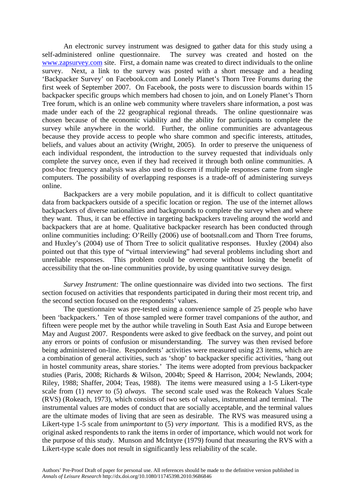An electronic survey instrument was designed to gather data for this study using a self-administered online questionnaire. The survey was created and hosted on the [www.zapsurvey.com](http://www.zapsurvey.com/) site. First, a domain name was created to direct individuals to the online survey. Next, a link to the survey was posted with a short message and a heading 'Backpacker Survey' on Facebook.com and Lonely Planet's Thorn Tree Forums during the first week of September 2007. On Facebook, the posts were to discussion boards within 15 backpacker specific groups which members had chosen to join, and on Lonely Planet's Thorn Tree forum, which is an online web community where travelers share information, a post was made under each of the 22 geographical regional threads. The online questionnaire was chosen because of the economic viability and the ability for participants to complete the survey while anywhere in the world. Further, the online communities are advantageous because they provide access to people who share common and specific interests, attitudes, beliefs, and values about an activity (Wright, 2005). In order to preserve the uniqueness of each individual respondent, the introduction to the survey requested that individuals only complete the survey once, even if they had received it through both online communities. A post-hoc frequency analysis was also used to discern if multiple responses came from single computers. The possibility of overlapping responses is a trade-off of administering surveys online.

Backpackers are a very mobile population, and it is difficult to collect quantitative data from backpackers outside of a specific location or region. The use of the internet allows backpackers of diverse nationalities and backgrounds to complete the survey when and where they want. Thus, it can be effective in targeting backpackers traveling around the world and backpackers that are at home. Qualitative backpacker research has been conducted through online communities including: O'Reilly (2006) use of bootsnall.com and Thorn Tree forums, and Huxley's (2004) use of Thorn Tree to solicit qualitative responses. Huxley (2004) also pointed out that this type of "virtual interviewing" had several problems including short and unreliable responses. This problem could be overcome without losing the benefit of accessibility that the on-line communities provide, by using quantitative survey design.

*Survey Instrument:* The online questionnaire was divided into two sections. The first section focused on activities that respondents participated in during their most recent trip, and the second section focused on the respondents' values.

The questionnaire was pre-tested using a convenience sample of 25 people who have been 'backpackers.' Ten of those sampled were former travel companions of the author, and fifteen were people met by the author while traveling in South East Asia and Europe between May and August 2007. Respondents were asked to give feedback on the survey, and point out any errors or points of confusion or misunderstanding. The survey was then revised before being administered on-line. Respondents' activities were measured using 23 items, which are a combination of general activities, such as 'shop' to backpacker specific activities, 'hang out in hostel community areas, share stories.' The items were adopted from previous backpacker studies (Paris, 2008; Richards & Wilson, 2004b; Speed & Harrison, 2004; Newlands, 2004; Riley, 1988; Shaffer, 2004; Teas, 1988). The items were measured using a 1-5 Likert-type scale from (1) *never* to (5) *always.* The second scale used was the Rokeach Values Scale (RVS) (Rokeach, 1973), which consists of two sets of values, instrumental and terminal. The instrumental values are modes of conduct that are socially acceptable, and the terminal values are the ultimate modes of living that are seen as desirable. The RVS was measured using a Likert-type 1-5 scale from *unimportant* to (5) *very important.* This is a modified RVS, as the original asked respondents to rank the items in order of importance, which would not work for the purpose of this study. Munson and McIntyre (1979) found that measuring the RVS with a Likert-type scale does not result in significantly less reliability of the scale.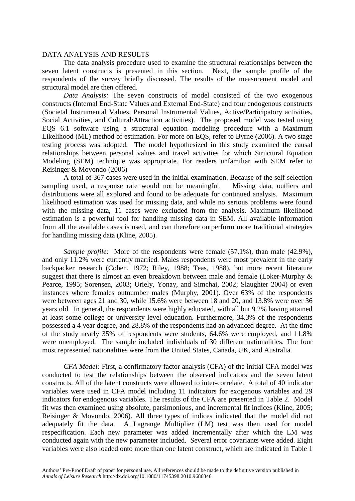# DATA ANALYSIS AND RESULTS

The data analysis procedure used to examine the structural relationships between the seven latent constructs is presented in this section. Next, the sample profile of the respondents of the survey briefly discussed. The results of the measurement model and structural model are then offered.

*Data Analysis:* The seven constructs of model consisted of the two exogenous constructs (Internal End-State Values and External End-State) and four endogenous constructs (Societal Instrumental Values, Personal Instrumental Values, Active/Participatory activities, Social Activities, and Cultural/Attraction activities). The proposed model was tested using EQS 6.1 software using a structural equation modeling procedure with a Maximum Likelihood (ML) method of estimation. For more on EQS, refer to Byrne (2006). A two stage testing process was adopted. The model hypothesized in this study examined the causal relationships between personal values and travel activities for which Structural Equation Modeling (SEM) technique was appropriate. For readers unfamiliar with SEM refer to Reisinger & Movondo (2006)

A total of 367 cases were used in the initial examination. Because of the self-selection sampling used, a response rate would not be meaningful. Missing data, outliers and distributions were all explored and found to be adequate for continued analysis. Maximum likelihood estimation was used for missing data, and while no serious problems were found with the missing data, 11 cases were excluded from the analysis. Maximum likelihood estimation is a powerful tool for handling missing data in SEM. All available information from all the available cases is used, and can therefore outperform more traditional strategies for handling missing data (Kline, 2005).

*Sample profile:* More of the respondents were female (57.1%), than male (42.9%), and only 11.2% were currently married. Males respondents were most prevalent in the early backpacker research (Cohen, 1972; Riley, 1988; Teas, 1988), but more recent literature suggest that there is almost an even breakdown between male and female (Loker-Murphy & Pearce, 1995; Sorensen, 2003; Uriely, Yonay, and Simchai, 2002; Slaughter 2004) or even instances where females outnumber males (Murphy, 2001). Over 63% of the respondents were between ages 21 and 30, while 15.6% were between 18 and 20, and 13.8% were over 36 years old. In general, the respondents were highly educated, with all but 9.2% having attained at least some college or university level education. Furthermore, 34.3% of the respondents possessed a 4 year degree, and 28.8% of the respondents had an advanced degree. At the time of the study nearly 35% of respondents were students, 64.6% were employed, and 11.8% were unemployed. The sample included individuals of 30 different nationalities. The four most represented nationalities were from the United States, Canada, UK, and Australia.

*CFA Model:* First, a confirmatory factor analysis (CFA) of the initial CFA model was conducted to test the relationships between the observed indicators and the seven latent constructs. All of the latent constructs were allowed to inter-correlate. A total of 40 indicator variables were used in CFA model including 11 indicators for exogenous variables and 29 indicators for endogenous variables. The results of the CFA are presented in Table 2. Model fit was then examined using absolute, parsimonious, and incremental fit indices (Kline, 2005; Reisinger & Movondo, 2006). All three types of indices indicated that the model did not adequately fit the data. A Lagrange Multiplier (LM) test was then used for model respecification. Each new parameter was added incrementally after which the LM was conducted again with the new parameter included. Several error covariants were added. Eight variables were also loaded onto more than one latent construct, which are indicated in Table 1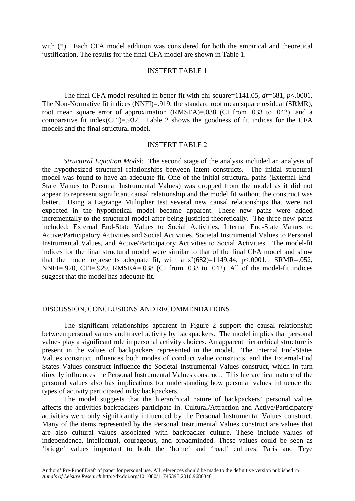with  $(*)$ . Each CFA model addition was considered for both the empirical and theoretical justification. The results for the final CFA model are shown in Table 1.

# INSTERT TABLE 1

The final CFA model resulted in better fit with chi-square=1141.05, *df=*681, *p*<.0001. The Non-Normative fit indices (NNFI)=.919, the standard root mean square residual (SRMR), root mean square error of approximation (RMSEA)=.038 (CI from .033 to .042), and a comparative fit index(CFI)=.932. Table 2 shows the goodness of fit indices for the CFA models and the final structural model.

## INSTERT TABLE 2

*Structural Equation Model:* The second stage of the analysis included an analysis of the hypothesized structural relationships between latent constructs. The initial structural model was found to have an adequate fit. One of the initial structural paths (External End-State Values to Personal Instrumental Values) was dropped from the model as it did not appear to represent significant causal relationship and the model fit without the construct was better. Using a Lagrange Multiplier test several new causal relationships that were not expected in the hypothetical model became apparent. These new paths were added incrementally to the structural model after being justified theoretically. The three new paths included: External End-State Values to Social Activities, Internal End-State Values to Active/Participatory Activities and Social Activities, Societal Instrumental Values to Personal Instrumental Values, and Active/Participatory Activities to Social Activities. The model-fit indices for the final structural model were similar to that of the final CFA model and show that the model represents adequate fit, with a  $x^2(682)=1149.44$ ,  $p<.0001$ , SRMR=.052, NNFI=.920, CFI=.929, RMSEA=.038 (CI from .033 to .042). All of the model-fit indices suggest that the model has adequate fit.

# DISCUSSION, CONCLUSIONS AND RECOMMENDATIONS

The significant relationships apparent in Figure 2 support the causal relationship between personal values and travel activity by backpackers. The model implies that personal values play a significant role in personal activity choices. An apparent hierarchical structure is present in the values of backpackers represented in the model. The Internal End-States Values construct influences both modes of conduct value constructs, and the External-End States Values construct influence the Societal Instrumental Values construct, which in turn directly influences the Personal Instrumental Values construct. This hierarchical nature of the personal values also has implications for understanding how personal values influence the types of activity participated in by backpackers.

The model suggests that the hierarchical nature of backpackers' personal values affects the activities backpackers participate in. Cultural/Attraction and Active/Participatory activities were only significantly influenced by the Personal Instrumental Values construct. Many of the items represented by the Personal Instrumental Values construct are values that are also cultural values associated with backpacker culture. These include values of independence, intellectual, courageous, and broadminded. These values could be seen as 'bridge' values important to both the 'home' and 'road' cultures. Paris and Teye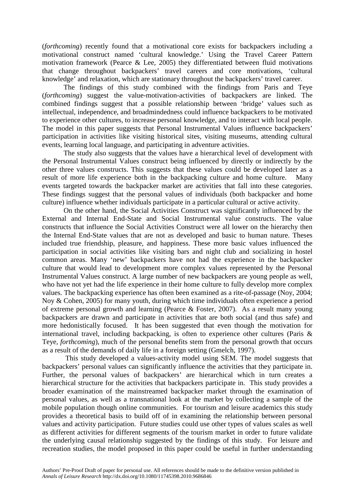(*forthcoming*) recently found that a motivational core exists for backpackers including a motivational construct named 'cultural knowledge.' Using the Travel Career Pattern motivation framework (Pearce & Lee, 2005) they differentiated between fluid motivations that change throughout backpackers' travel careers and core motivations, 'cultural knowledge' and relaxation, which are stationary throughout the backpackers' travel career.

The findings of this study combined with the findings from Paris and Teye (*forthcoming*) suggest the value-motivation-activities of backpackers are linked. The combined findings suggest that a possible relationship between 'bridge' values such as intellectual, independence, and broadmindedness could influence backpackers to be motivated to experience other cultures, to increase personal knowledge, and to interact with local people. The model in this paper suggests that Personal Instrumental Values influence backpackers' participation in activities like visiting historical sites, visiting museums, attending cultural events, learning local language, and participating in adventure activities.

The study also suggests that the values have a hierarchical level of development with the Personal Instrumental Values construct being influenced by directly or indirectly by the other three values constructs. This suggests that these values could be developed later as a result of more life experience both in the backpacking culture and home culture. Many events targeted towards the backpacker market are activities that fall into these categories. These findings suggest that the personal values of individuals (both backpacker and home culture) influence whether individuals participate in a particular cultural or active activity.

On the other hand, the Social Activities Construct was significantly influenced by the External and Internal End-State and Social Instrumental value constructs. The value constructs that influence the Social Activities Construct were all lower on the hierarchy then the Internal End-State values that are not as developed and basic to human nature. Theses included true friendship, pleasure, and happiness. These more basic values influenced the participation in social activities like visiting bars and night club and socializing in hostel common areas. Many 'new' backpackers have not had the experience in the backpacker culture that would lead to development more complex values represented by the Personal Instrumental Values construct. A large number of new backpackers are young people as well, who have not yet had the life experience in their home culture to fully develop more complex values. The backpacking experience has often been examined as a rite-of-passage (Noy, 2004; Noy & Cohen, 2005) for many youth, during which time individuals often experience a period of extreme personal growth and learning (Pearce & Foster, 2007). As a result many young backpackers are drawn and participate in activities that are both social (and thus safe) and more hedonistically focused. It has been suggested that even though the motivation for international travel, including backpacking, is often to experience other cultures (Paris & Teye, *forthcoming*), much of the personal benefits stem from the personal growth that occurs as a result of the demands of daily life in a foreign setting (Gmelch, 1997).

This study developed a values-activity model using SEM. The model suggests that backpackers' personal values can significantly influence the activities that they participate in. Further, the personal values of backpackers' are hierarchical which in turn creates a hierarchical structure for the activities that backpackers participate in. This study provides a broader examination of the mainstreamed backpacker market through the examination of personal values, as well as a transnational look at the market by collecting a sample of the mobile population though online communities. For tourism and leisure academics this study provides a theoretical basis to build off of in examining the relationship between personal values and activity participation. Future studies could use other types of values scales as well as different activities for different segments of the tourism market in order to future validate the underlying causal relationship suggested by the findings of this study. For leisure and recreation studies, the model proposed in this paper could be useful in further understanding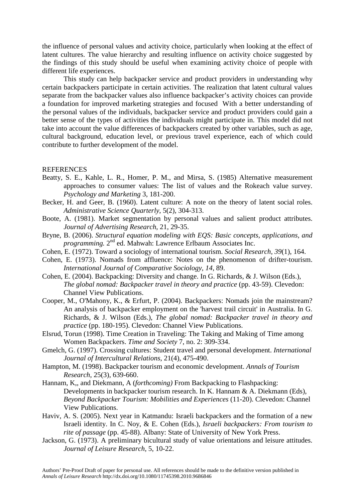the influence of personal values and activity choice, particularly when looking at the effect of latent cultures. The value hierarchy and resulting influence on activity choice suggested by the findings of this study should be useful when examining activity choice of people with different life experiences.

This study can help backpacker service and product providers in understanding why certain backpackers participate in certain activities. The realization that latent cultural values separate from the backpacker values also influence backpacker's activity choices can provide a foundation for improved marketing strategies and focused With a better understanding of the personal values of the individuals, backpacker service and product providers could gain a better sense of the types of activities the individuals might participate in. This model did not take into account the value differences of backpackers created by other variables, such as age, cultural background, education level, or previous travel experience, each of which could contribute to further development of the model.

#### **REFERENCES**

- Beatty, S. E., Kahle, L. R., Homer, P. M., and Mirsa, S. (1985) Alternative measurement approaches to consumer values: The list of values and the Rokeach value survey. *Psychology and Marketing* 3, 181-200.
- Becker, H. and Geer, B. (1960). Latent culture: A note on the theory of latent social roles. *Administrative Science Quarterly*, 5(2), 304-313.
- Boote, A. (1981). Market segmentation by personal values and salient product attributes. *Journal of Advertising Research*, 21, 29-35.
- Bryne, B. (2006). *Structural equation modeling with EQS: Basic concepts, applications, and programming.* 2nd ed. Mahwah: Lawrence Erlbaum Associates Inc.
- Cohen, E. (1972). Toward a sociology of international tourism. *Social Research, 39*(1), 164.
- Cohen, E. (1973). Nomads from affluence: Notes on the phenomenon of drifter-tourism. *International Journal of Comparative Sociology, 14*, 89.
- Cohen, E. (2004). Backpacking: Diversity and change. In G. Richards, & J. Wilson (Eds.), *The global nomad: Backpacker travel in theory and practice* (pp. 43-59). Clevedon: Channel View Publications.
- Cooper, M., O'Mahony, K., & Erfurt, P. (2004). Backpackers: Nomads join the mainstream? An analysis of backpacker employment on the 'harvest trail circuit' in Australia. In G. Richards, & J. Wilson (Eds.), *The global nomad: Backpacker travel in theory and practice* (pp. 180-195). Clevedon: Channel View Publications.
- Elsrud, Torun (1998). Time Creation in Traveling: The Taking and Making of Time among Women Backpackers. *Time and Society* 7, no. 2: 309-334.
- Gmelch, G. (1997). Crossing cultures: Student travel and personal development. *International Journal of Intercultural Relations*, 21(4), 475-490.
- Hampton, M. (1998). Backpacker tourism and economic development. *Annals of Tourism Research*, 25(3), 639-660.
- Hannam, K., and Diekmann, A (*forthcoming*) From Backpacking to Flashpacking: Developments in backpacker tourism research. In K. Hannam & A. Diekmann (Eds), *Beyond Backpacker Tourism: Mobilities and Experiences* (11-20). Clevedon: Channel View Publications.
- Haviv, A. S. (2005). Next year in Katmandu: Israeli backpackers and the formation of a new Israeli identity. In C. Noy, & E. Cohen (Eds.), *Israeli backpackers: From tourism to rite of passage* (pp. 45-88). Albany: State of University of New York Press.
- Jackson, G. (1973). A preliminary bicultural study of value orientations and leisure attitudes. *Journal of Leisure Research*, 5, 10-22.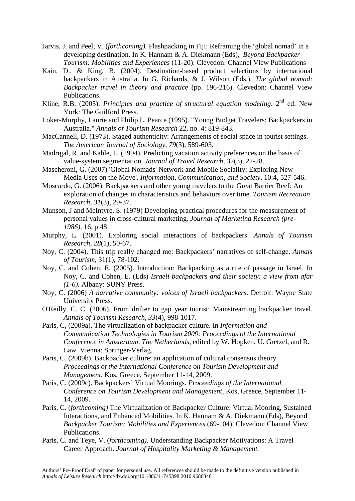- Jarvis, J. and Peel, V. (*forthcoming).* Flashpacking in Fiji: Reframing the 'global nomad' in a developing destination. In K. Hannam & A. Diekmann (Eds), *Beyond Backpacker Tourism: Mobilities and Experiences* (11-20). Clevedon: Channel View Publications
- Kain, D., & King, B. (2004). Destination-based product selections by international backpackers in Australia. In G. Richards, & J. Wilson (Eds.), *The global nomad: Backpacker travel in theory and practice* (pp. 196-216). Clevedon: Channel View Publications.
- Kline, R.B. (2005). *Principles and practice of structural equation modeling*. 2nd ed. New York: The Guilford Press.
- Loker-Murphy, Laurie and Philip L. Pearce (1995). "Young Budget Travelers: Backpackers in Australia." *Annals of Tourism Research* 22, no. 4: 819-843.
- MacCannell, D. (1973). Staged authenticity: Arrangements of social space in tourist settings. *The American Journal of Sociology, 79*(3), 589-603.
- Madrigal, R. and Kahle, L. (1994). Predicting vacation activity preferences on the basis of value-system segmentation. *Journal of Travel Research,* 32(3), 22-28.
- Mascheroni, G. (2007) 'Global Nomads' Network and Mobile Sociality: Exploring New Media Uses on the Move'. *Information, Communication, and Society*, 10:4, 527-546.
- Moscardo, G. (2006). Backpackers and other young travelers to the Great Barrier Reef: An exploration of changes in characteristics and behaviors over time. *Tourism Recreation Research, 31*(3), 29-37.
- Munson, J and McIntyre, S. (1979) Developing practical procedures for the measurement of personal values in cross-cultural marketing. *Journal of Marketing Research (pre-1986),* 16, p 48
- Murphy, L. (2001). Exploring social interactions of backpackers. *Annals of Tourism Research, 28*(1), 50-67.
- Noy, C. (2004). This trip really changed me: Backpackers' narratives of self-change. *Annals of Tourism,* 31(1), 78-102.
- Noy, C. and Cohen, E. (2005). Introduction: Backpacking as a rite of passage in Israel. In Noy, C. and Cohen, E. (Eds) *Israeli backpackers and their society: a view from afar (1-6)*. Albany: SUNY Press.
- Noy, C. (2006) *A narrative community: voices of Israeli backpackers.* Detroit: Wayne State University Press.
- O'Reilly, C. C. (2006). From drifter to gap year tourist: Mainstreaming backpacker travel. *Annals of Tourism Research, 33*(4), 998-1017.
- Paris, C, (2009a). The virtualization of backpacker culture. In *Information and Communication Technologies in Tourism 2009: Proceedings of the International Conference in Amsterdam, The Netherlands*, edited by W. Hopken, U. Gretzel, and R. Law. Vienna: Springer-Verlag.
- Paris, C. (2009b). Backpacker culture: an application of cultural consensus theory. *Proceedings of the International Conference on Tourism Development and Management*, Kos, Greece, September 11-14, 2009.
- Paris, C. (2009c). Backpackers' Virtual Moorings. *Proceedings of the International Conference on Tourism Development and Management*, Kos, Greece, September 11- 14, 2009.
- Paris, C. (*forthcoming)* The Virtualization of Backpacker Culture: Virtual Mooring, Sustained Interactions, and Enhanced Mobilities. In K. Hannam & A. Diekmann (Eds), Beyond *Backpacker Tourism: Mobilities and Experiences* (69-104). Clevedon: Channel View Publications.
- Paris, C. and Teye, V. (*forthcoming)*. Understanding Backpacker Motivations: A Travel Career Approach. *Journal of Hospitality Marketing & Management.*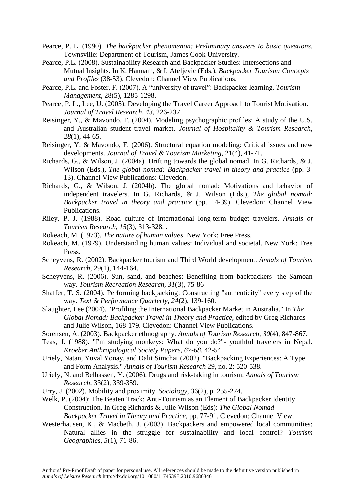- Pearce, P. L. (1990). *The backpacker phenomenon: Preliminary answers to basic questions*. Townsville: Department of Tourism, James Cook University.
- Pearce, P.L. (2008). Sustainability Research and Backpacker Studies: Intersections and Mutual Insights. In K. Hannam, & I. Ateljevic (Eds.), *Backpacker Tourism: Concepts and Profiles* (38-53). Clevedon: Channel View Publications.
- Pearce, P.L. and Foster, F. (2007). A "university of travel": Backpacker learning. *Tourism Management*, 28(5), 1285-1298.
- Pearce, P. L., Lee, U. (2005). Developing the Travel Career Approach to Tourist Motivation. *Journal of Travel Research, 43*, 226-237.
- Reisinger, Y., & Mavondo, F. (2004). Modeling psychographic profiles: A study of the U.S. and Australian student travel market. *Journal of Hospitality & Tourism Research, 28*(1), 44-65.
- Reisinger, Y. & Mavondo, F. (2006). Structural equation modeling: Critical issues and new developments. *Journal of Travel & Tourism Marketing,* 21(4), 41-71.
- Richards, G., & Wilson, J. (2004a). Drifting towards the global nomad. In G. Richards, & J. Wilson (Eds.), *The global nomad: Backpacker travel in theory and practice* (pp. 3- 13). Channel View Publications: Clevedon.
- Richards, G., & Wilson, J. (2004b). The global nomad: Motivations and behavior of independent travelers. In G. Richards, & J. Wilson (Eds.), *The global nomad: Backpacker travel in theory and practice* (pp. 14-39). Clevedon: Channel View Publications.
- Riley, P. J. (1988). Road culture of international long-term budget travelers. *Annals of Tourism Research, 15*(3), 313-328. .
- Rokeach, M. (1973). *The nature of human values*. New York: Free Press.
- Rokeach, M. (1979). Understanding human values: Individual and societal. New York: Free Press.
- Scheyvens, R. (2002). Backpacker tourism and Third World development. *Annals of Tourism Research,* 29(1), 144-164.
- Scheyvens, R. (2006). Sun, sand, and beaches: Benefiting from backpackers- the Samoan way. *Tourism Recreation Research, 31*(3), 75-86
- Shaffer, T. S. (2004). Performing backpacking: Constructing "authenticity" every step of the way. *Text & Performance Quarterly, 24*(2), 139-160.
- Slaughter, Lee (2004). "Profiling the International Backpacker Market in Australia." In *The Global Nomad: Backpacker Travel in Theory and Practice*, edited by Greg Richards and Julie Wilson, 168-179. Clevedon: Channel View Publications.
- Sorensen, A. (2003). Backpacker ethnography. *Annals of Tourism Research, 30*(4), 847-867.
- Teas, J. (1988). "I'm studying monkeys: What do you do?"- youthful travelers in Nepal. *Kroeber Anthropological Society Papers, 67-68*, 42-54.
- Uriely, Natan, Yuval Yonay, and Dalit Simchai (2002). "Backpacking Experiences: A Type and Form Analysis." *Annals of Tourism Research* 29, no. 2: 520-538.
- Uriely, N. and Belhassen, Y. (2006). Drugs and risk-taking in tourism. *Annals of Tourism Research*, 33(2), 339-359.
- Urry, J. (2002). Mobility and proximity. *Sociology*, 36(2), p. 255-274.
- Welk, P. (2004): The Beaten Track: Anti-Tourism as an Element of Backpacker Identity Construction. In Greg Richards & Julie Wilson (Eds): *The Global Nomad – Backpacker Travel in Theory and Practice*, pp. 77-91. Clevedon: Channel View.
- Westerhausen, K., & Macbeth, J. (2003). Backpackers and empowered local communities: Natural allies in the struggle for sustainability and local control? *Tourism Geographies, 5*(1), 71-86.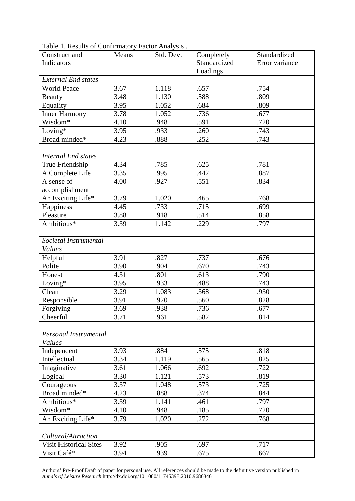| Construct and                 | Means | Std. Dev. | Completely<br>Standardized     |      |  |
|-------------------------------|-------|-----------|--------------------------------|------|--|
| Indicators                    |       |           | Standardized<br>Error variance |      |  |
|                               |       |           | Loadings                       |      |  |
| <b>External End states</b>    |       |           |                                |      |  |
| <b>World Peace</b>            | 3.67  | 1.118     | .657                           | .754 |  |
| Beauty                        | 3.48  | 1.130     | .588                           | .809 |  |
| Equality                      | 3.95  | 1.052     | .684                           | .809 |  |
| <b>Inner Harmony</b>          | 3.78  | 1.052     | .736                           | .677 |  |
| Wisdom*                       | 4.10  | .948      | .591                           | .720 |  |
| Loving*                       | 3.95  | .933      | .260                           | .743 |  |
| Broad minded*                 | 4.23  | .888      | .252                           | .743 |  |
|                               |       |           |                                |      |  |
| <b>Internal End states</b>    |       |           |                                |      |  |
| True Friendship               | 4.34  | .785      | .625                           | .781 |  |
| A Complete Life               | 3.35  | .995      | .442                           | .887 |  |
| A sense of                    | 4.00  | .927      | .551                           | .834 |  |
| accomplishment                |       |           |                                |      |  |
| An Exciting Life*             | 3.79  | 1.020     | .465                           | .768 |  |
| Happiness                     | 4.45  | .733      | .715                           | .699 |  |
| Pleasure                      | 3.88  | .918      | .514                           | .858 |  |
| Ambitious*                    | 3.39  | 1.142     | .229                           | .797 |  |
|                               |       |           |                                |      |  |
| Societal Instrumental         |       |           |                                |      |  |
| <b>Values</b>                 |       |           |                                |      |  |
| Helpful                       | 3.91  | .827      | .737                           | .676 |  |
| Polite                        | 3.90  | .904      | .670                           | .743 |  |
| Honest                        | 4.31  | .801      | .613                           | .790 |  |
| Loving $*$                    | 3.95  | .933      | .488                           | .743 |  |
| Clean                         | 3.29  | 1.083     | .368                           | .930 |  |
| Responsible                   | 3.91  | .920      | .560                           | .828 |  |
| Forgiving                     | 3.69  | .938      | .736                           | .677 |  |
| Cheerful                      | 3.71  | .961      | .582                           | .814 |  |
|                               |       |           |                                |      |  |
| Personal Instrumental         |       |           |                                |      |  |
| <b>Values</b>                 |       |           |                                |      |  |
| Independent                   | 3.93  | .884      | .575                           | .818 |  |
| Intellectual                  | 3.34  | 1.119     | .565                           | .825 |  |
| Imaginative                   | 3.61  | 1.066     | .692                           | .722 |  |
| Logical                       | 3.30  | 1.121     | .573                           | .819 |  |
| Courageous                    | 3.37  | 1.048     | .573                           | .725 |  |
| Broad minded*                 | 4.23  | .888      | .374                           | .844 |  |
| Ambitious*                    | 3.39  | 1.141     | .461                           | .797 |  |
| Wisdom*                       | 4.10  | .948      | .185                           | .720 |  |
| An Exciting Life*             | 3.79  | 1.020     | .272                           | .768 |  |
|                               |       |           |                                |      |  |
| Cultural/Attraction           |       |           |                                |      |  |
| <b>Visit Historical Sites</b> | 3.92  | .905      | .697                           | .717 |  |
| Visit Café*                   | 3.94  | .939      | .675                           | .667 |  |

Table 1. Results of Confirmatory Factor Analysis .

Authors' Pre-Proof Draft of paper for personal use. All references should be made to the definitive version published in *Annals of Leisure Research* http://dx.doi.org/10.1080/11745398.2010.9686846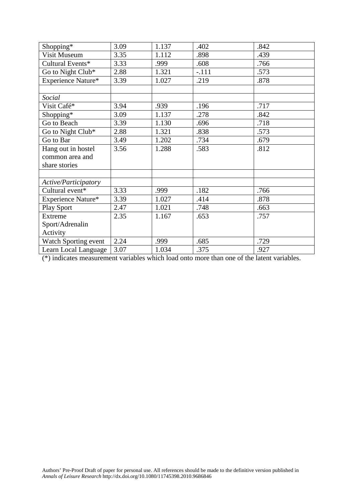| Shopping*            | 3.09 | 1.137 | .402    | .842 |
|----------------------|------|-------|---------|------|
| Visit Museum         | 3.35 | 1.112 |         | .439 |
|                      |      |       | .898    |      |
| Cultural Events*     | 3.33 | .999  | .608    | .766 |
| Go to Night Club*    | 2.88 | 1.321 | $-.111$ | .573 |
| Experience Nature*   | 3.39 | 1.027 | .219    | .878 |
|                      |      |       |         |      |
| Social               |      |       |         |      |
| Visit Café*          | 3.94 | .939  | .196    | .717 |
| Shopping*            | 3.09 | 1.137 | .278    | .842 |
| Go to Beach          | 3.39 | 1.130 | .696    | .718 |
| Go to Night Club*    | 2.88 | 1.321 | .838    | .573 |
| Go to Bar            | 3.49 | 1.202 | .734    | .679 |
| Hang out in hostel   | 3.56 | 1.288 | .583    | .812 |
| common area and      |      |       |         |      |
| share stories        |      |       |         |      |
|                      |      |       |         |      |
| Active/Participatory |      |       |         |      |
| Cultural event*      | 3.33 | .999  | .182    | .766 |
| Experience Nature*   | 3.39 | 1.027 | .414    | .878 |
| Play Sport           | 2.47 | 1.021 | .748    | .663 |
| Extreme              | 2.35 | 1.167 | .653    | .757 |
| Sport/Adrenalin      |      |       |         |      |
| Activity             |      |       |         |      |
| Watch Sporting event | 2.24 | .999  | .685    | .729 |
| Learn Local Language | 3.07 | 1.034 | .375    | .927 |

(\*) indicates measurement variables which load onto more than one of the latent variables.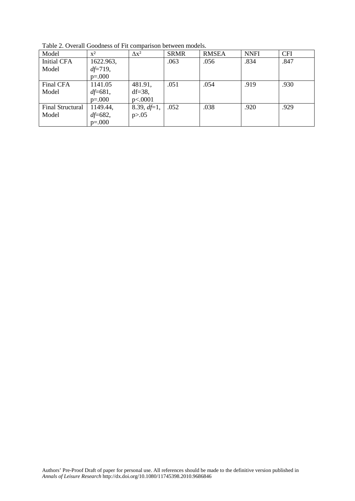| Model              | $\mathbf{x}^2$ | $\Delta x^2$   | <b>SRMR</b> | <b>RMSEA</b> | <b>NNFI</b> | <b>CFI</b> |
|--------------------|----------------|----------------|-------------|--------------|-------------|------------|
| <b>Initial CFA</b> | 1622.963,      |                | .063        | .056         | .834        | .847       |
| Model              | $df = 719$ ,   |                |             |              |             |            |
|                    | $p=.000$       |                |             |              |             |            |
| Final CFA          | 1141.05        | 481.91,        | .051        | .054         | .919        | .930       |
| Model              | $df = 681,$    | $df=38$ ,      |             |              |             |            |
|                    | $p=.000$       | p<.0001        |             |              |             |            |
| Final Structural   | 1149.44,       | 8.39, $df=1$ , | .052        | .038         | .920        | .929       |
| Model              | $df = 682,$    | p > 0.05       |             |              |             |            |
|                    | $p=.000$       |                |             |              |             |            |

Table 2. Overall Goodness of Fit comparison between models.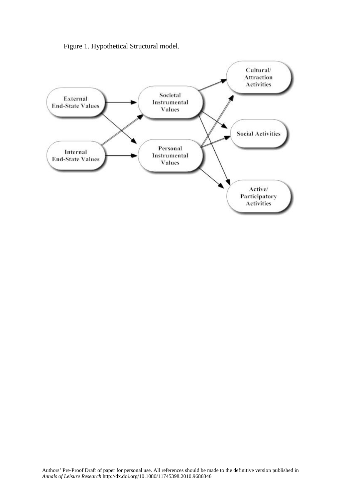